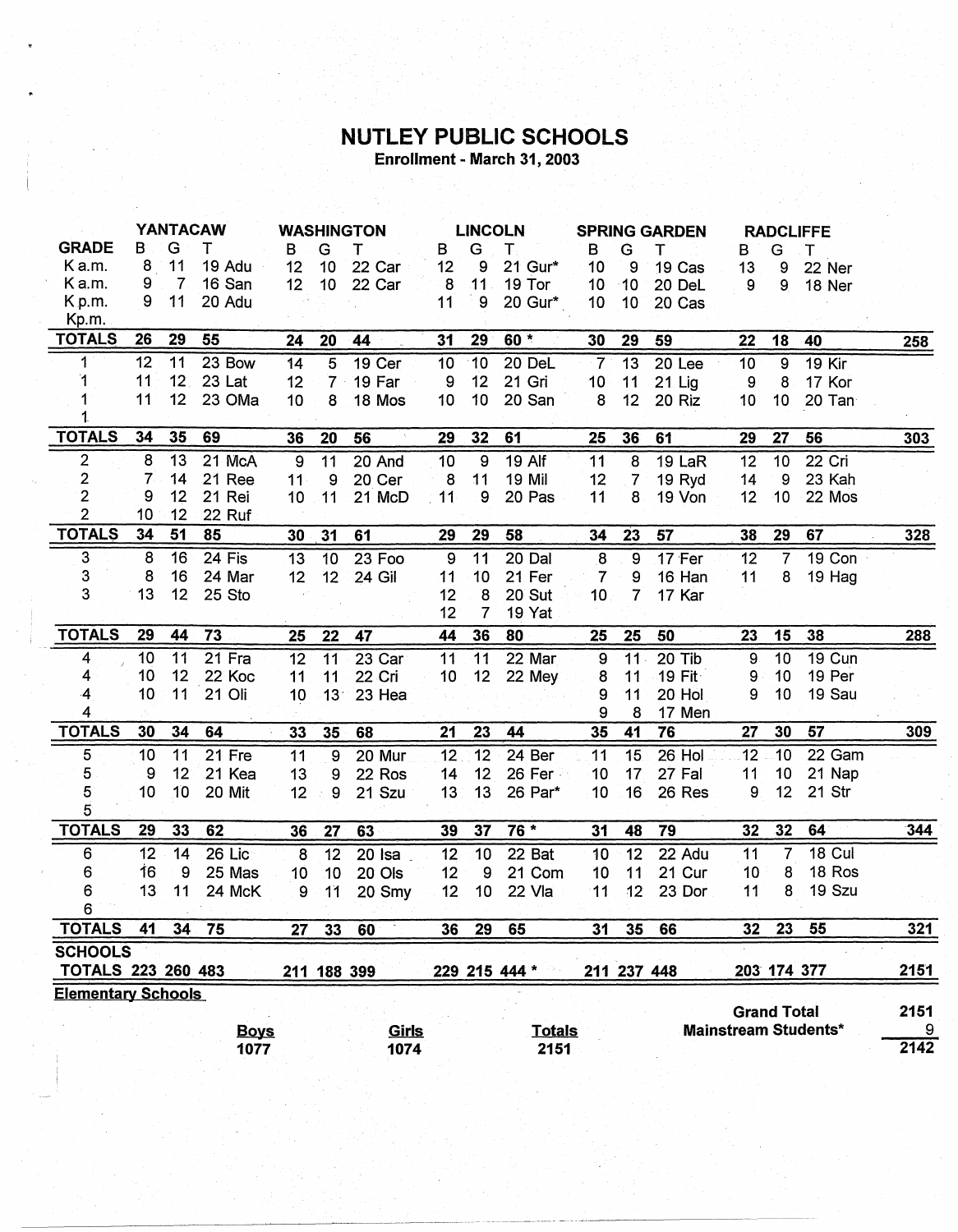## **NUTLEY PUBLIC SCHOOLS**<br>Enrollment - March 31, 2003

|                           | <b>YANTACAW</b> |                 |                     |    | <b>WASHINGTON</b> |             |                 | <b>LINCOLN</b>  |               |                | <b>SPRING GARDEN</b> |             |                    | <b>RADCLIFFE</b> |                             |                  |
|---------------------------|-----------------|-----------------|---------------------|----|-------------------|-------------|-----------------|-----------------|---------------|----------------|----------------------|-------------|--------------------|------------------|-----------------------------|------------------|
| <b>GRADE</b>              | B               | G               | т                   | B  | G                 | т           | B               | G               | T.            | B              | G                    | т           | в                  | G                | $\mathsf{T}$                |                  |
| K a.m.                    | 8               | 11              | 19 Adu              | 12 | 10                | 22 Car      | 12              | 9               | 21 Gur*       | 10             | 9                    | 19 Cas      | 13                 | 9                | 22 Ner                      |                  |
| Ka.m.                     | 9               | $\overline{7}$  | 16 San              | 12 | 10 <sub>1</sub>   | 22 Car      | 8               | 11              | 19 Tor        | 10             | $-10$                | 20 DeL      | 9                  | 9                | 18 Ner                      |                  |
| K.p.m.                    | 9               | 11              | 20 Adu              |    |                   |             | 11              | 9               | 20 Gur*       | 10             | 10 <sup>°</sup>      | 20 Cas      |                    |                  |                             |                  |
| Kp.m.                     |                 |                 |                     |    |                   |             |                 |                 |               |                |                      |             |                    |                  |                             |                  |
| <b>TOTALS</b>             | 26              | 29              | 55                  | 24 | 20                | 44          | 31              | 29              | $60*$         | 30             | 29                   | 59          | 22                 | 18               | 40                          | 258              |
| 1                         | 12              | 11              | 23 Bow              | 14 | $\overline{5}$    | 19 Cer      | 10              | $-10$           | 20 DeL        | $-7$           | $\overline{13}$      | 20 Lee      | 10                 | 9                | <b>19 Kir</b>               |                  |
| 1                         | 11              | 12 <sub>1</sub> | 23 Lat              | 12 | $7 -$             | 19 Far      | 9               | 12              | 21 Gri        | 10             | 11                   | $21$ Lig    | $\overline{9}$     | 8                | 17 Kor                      |                  |
| 1                         | 11              | 12 <sub>2</sub> | 23 OMa              | 10 | 8                 | 18 Mos      | 10              | 10              | 20 San        | 8              | 12                   | 20 Riz      | 10                 | 10 <sub>1</sub>  | 20 Tan                      |                  |
| <b>TOTALS</b>             | 34              | 35              | 69                  | 36 | 20                | 56          | 29              | 32              | 61            | 25             | 36                   | 61          | 29                 | 27               | 56                          | 303              |
| 2                         | 8               | 13              | 21 McA              | 9  | 11                | 20 And      | 10              | 9               | <b>19 Alf</b> | 11             | 8                    | 19 LaR      | $\overline{12}$    | 10               | 22 Cri                      |                  |
| $\mathbf{2}$              | 7               | 14              | 21 Ree              | 11 | 9                 | 20 Cer      | 8               | 11              | 19 Mil        | 12             | $\overline{7}$       | 19 Ryd      | 14                 | 9                | 23 Kah                      |                  |
| $\overline{2}$            | 9               | 12              | 21 Rei              | 10 | 11                | 21 McD      | 11              | 9               | 20 Pas        | 11             | 8                    | 19 Von      | 12                 | 10               | 22 Mos                      |                  |
| $\overline{2}$            | 10              | 12              | 22 Ruf              |    |                   |             |                 |                 |               |                |                      |             |                    |                  |                             |                  |
| <b>TOTALS</b>             | 34              | 51              | 85                  | 30 | 31                | 61          | 29              | 29              | 58            | 34             | 23                   | 57          | 38                 | 29               | 67                          | 328              |
| 3                         | 8               | 16              | $24$ Fis            | 13 | 10                | 23 Foo      | 9               | $\overline{11}$ | $20$ Dal      | $\overline{8}$ | $\overline{9}$       | 17 Fer      | $\overline{12}$    | 7                | 19 Con                      |                  |
| 3                         | 8               | 16              | 24 Mar              | 12 | 12 <sub>2</sub>   | 24 Gil      | 11              | 10              | 21 Fer        | 7              | 9                    | 16 Han      | 11                 | 8                | 19 Hag                      |                  |
| 3                         | 13              | 12              | 25 Sto              |    |                   |             | 12              | 8               | 20 Sut        | 10             | 7                    | 17 Kar      |                    |                  |                             |                  |
|                           |                 |                 |                     |    |                   |             | 12              | $\overline{7}$  | 19 Yat        |                |                      |             |                    |                  |                             |                  |
| <b>TOTALS</b>             | 29              | 44              | 73                  | 25 | 22                | 47          | 44              | 36              | 80            | 25             | 25                   | 50          | 23                 | 15               | 38                          | 288              |
| 4                         | 10              | 11              | 21 Fra              | 12 | $\overline{11}$   | 23 Car      | 11              | 11              | 22 Mar        | $\overline{9}$ | 11                   | 20 Tib      | 9                  | 10               | 19 Cun                      |                  |
| 4                         | 10              | 12              | 22 Koc              | 11 | 11                | 22 Cri      | 10 <sub>1</sub> | 12 <sup>7</sup> | 22 Mey        | 8              | 11                   | 19 Fit      | 9                  | 10               | 19 Per                      |                  |
| 4                         | 10              | 11              | 21 Oli              | 10 |                   | 13 23 Hea   |                 |                 |               | 9              | 11                   | 20 Hol      | 9                  | 10               | 19 Sau                      |                  |
| 4                         |                 |                 |                     |    |                   |             |                 |                 |               | 9              | 8                    | 17 Men      |                    |                  |                             |                  |
| <b>TOTALS</b>             | 30              | 34              | 64                  | 33 | 35                | 68          | 21              | 23              | 44            | 35             | 41                   | 76          | 27                 | 30               | 57                          | 309              |
| 5                         | 10              | 11              | 21 Fre              | 11 | 9                 | 20 Mur      | 12              | $\overline{12}$ | 24 Ber        | 11             | 15                   | 26 Hol      | $\overline{12}$    | 10               | 22 Gam                      |                  |
| 5                         | 9               | 12 <sup>2</sup> | 21 Kea              | 13 | 9                 | 22 Ros      | 14              | 12              | 26 Fer        | 10             | 17                   | 27 Fal      | 11                 | 10               | 21 Nap                      |                  |
| 5                         | 10              | 10              | 20 Mit              | 12 | 9                 | 21 Szu      | 13              | 13              | 26 Par*       | 10             | 16                   | 26 Res      | 9                  | 12               | 21 Str                      |                  |
| 5                         |                 |                 |                     |    |                   |             |                 |                 |               |                |                      |             |                    |                  |                             |                  |
| <b>TOTALS</b>             | 29              | 33              | 62                  | 36 | 27                | 63          | 39              | 37              | 76 *          | 31             | 48                   | 79          | 32                 | 32               | 64                          | 344              |
| 6                         | 12              | 14              | 26 Lic              | 8  | 12                | $20$ Isa    | 12              | 10              | 22 Bat        | 10             | 12                   | 22 Adu      | 11                 | 7                | 18 Cul                      |                  |
| 6                         | 16              | 9               | 25 Mas              | 10 | 10                | 20 Ols      | 12              | 9               | 21 Com        | 10             | 11                   | 21 Cur      | 10                 | 8                | 18 Ros                      |                  |
| 6<br>6                    | 13              | 11              | 24 McK              | 9  | 11                | 20 Smy      | 12              | 10 <sub>1</sub> | 22 Vla        | 11             | 12                   | 23 Dor      | 11                 | 8                | 19 Szu                      |                  |
| <b>TOTALS</b>             | 41              | 34              | 75                  | 27 | 33 <sub>°</sub>   | 60          | 36              | 29              | 65            | 31             | 35                   | 66          | 32                 | 23               | 55                          | 321              |
| <b>SCHOOLS</b>            |                 |                 |                     |    |                   |             |                 |                 |               |                |                      |             |                    |                  |                             |                  |
| <b>TOTALS 223 260 483</b> |                 |                 |                     |    |                   | 211 188 399 |                 |                 | 229 215 444 * |                |                      | 211 237 448 |                    | 203 174 377      |                             | 2151             |
| <b>Elementary Schools</b> |                 |                 |                     |    |                   |             |                 |                 |               |                |                      |             |                    |                  |                             |                  |
|                           |                 |                 |                     |    |                   | Girls       |                 |                 | <b>Totals</b> |                |                      |             | <b>Grand Total</b> |                  | <b>Mainstream Students*</b> | 2151<br>$\theta$ |
|                           |                 |                 | <b>Boys</b><br>1077 |    |                   | 1074        |                 |                 | 2151          |                |                      |             |                    |                  |                             | 2142             |